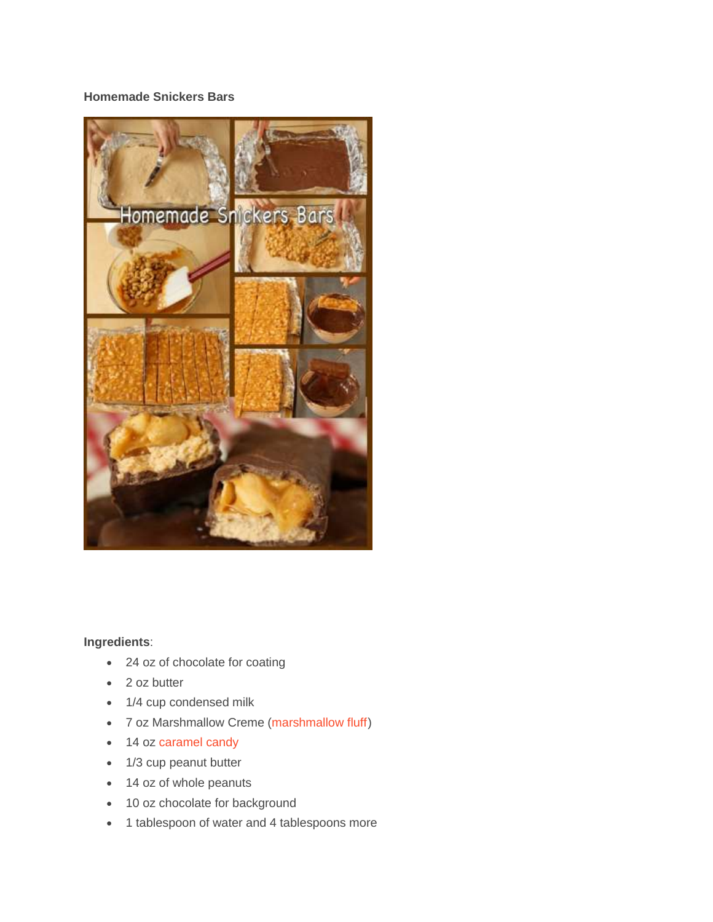## **Homemade Snickers Bars**



## **Ingredients**:

- 24 oz of chocolate for coating
- 2 oz butter
- 1/4 cup condensed milk
- 7 oz Marshmallow Creme [\(marshmallow](http://www.amazon.com/gp/search/ref=as_li_qf_sp_sr_tl?ie=UTF8&camp=1789&creative=9325&index=aps&keywords=marshmallow%20fluff&linkCode=ur2&tag=yourstorebook-20&linkId=HZNPZ4JY2ZTHL7O3) fluff)
- 14 oz [caramel](http://www.amazon.com/gp/search/ref=as_li_qf_sp_sr_tl?ie=UTF8&camp=1789&creative=9325&index=aps&keywords=caramel%20candy&linkCode=ur2&tag=yourstorebook-20&linkId=WKTNWQOSETXCPO5F) candy
- 1/3 cup peanut butter
- 14 oz of whole peanuts
- 10 oz chocolate for background
- 1 tablespoon of water and 4 tablespoons more